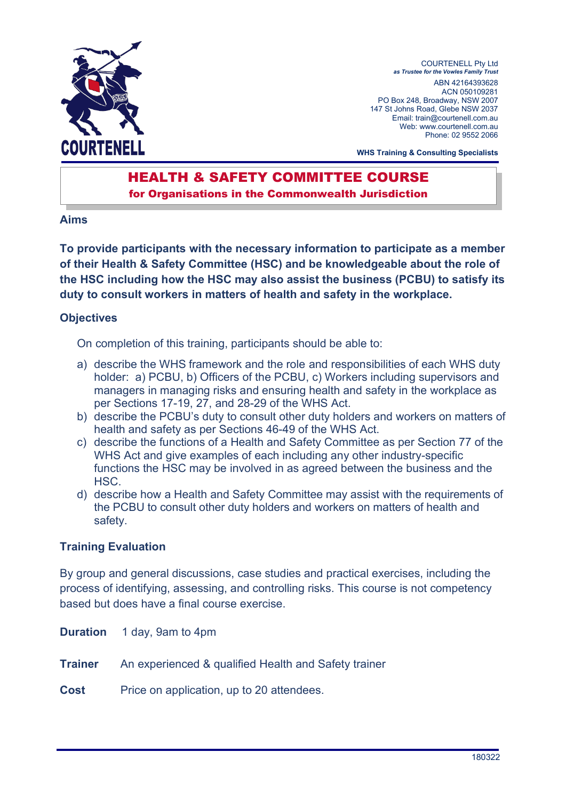

COURTENELL Pty Ltd as Trustee for the Vowles Family Trust ABN 42164393628 ACN 050109281 PO Box 248, Broadway, NSW 2007 147 St Johns Road, Glebe NSW 2037 Email: train@courtenell.com.au Web: www.courtenell.com.au Phone: 02 9552 2066

WHS Training & Consulting Specialists

# HEALTH & SAFETY COMMITTEE COURSE

for Organisations in the Commonwealth Jurisdiction

### Aims

To provide participants with the necessary information to participate as a member of their Health & Safety Committee (HSC) and be knowledgeable about the role of the HSC including how the HSC may also assist the business (PCBU) to satisfy its duty to consult workers in matters of health and safety in the workplace.

# **Objectives**

On completion of this training, participants should be able to:

- a) describe the WHS framework and the role and responsibilities of each WHS duty holder: a) PCBU, b) Officers of the PCBU, c) Workers including supervisors and managers in managing risks and ensuring health and safety in the workplace as per Sections 17-19, 27, and 28-29 of the WHS Act.
- b) describe the PCBU's duty to consult other duty holders and workers on matters of health and safety as per Sections 46-49 of the WHS Act.
- c) describe the functions of a Health and Safety Committee as per Section 77 of the WHS Act and give examples of each including any other industry-specific functions the HSC may be involved in as agreed between the business and the HSC.
- d) describe how a Health and Safety Committee may assist with the requirements of the PCBU to consult other duty holders and workers on matters of health and safety.

# Training Evaluation

By group and general discussions, case studies and practical exercises, including the process of identifying, assessing, and controlling risks. This course is not competency based but does have a final course exercise.

**Duration** 1 day, 9am to 4pm

**Trainer** An experienced & qualified Health and Safety trainer

Cost Price on application, up to 20 attendees.